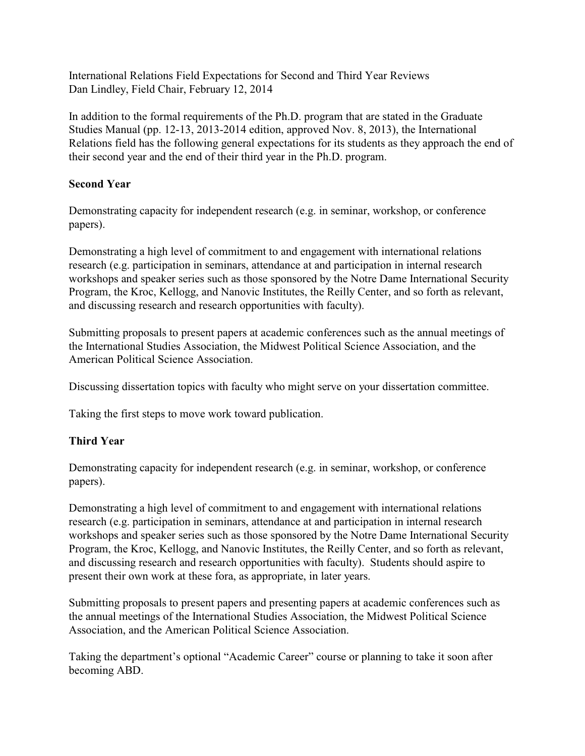International Relations Field Expectations for Second and Third Year Reviews Dan Lindley, Field Chair, February 12, 2014

In addition to the formal requirements of the Ph.D. program that are stated in the Graduate Studies Manual (pp. 12-13, 2013-2014 edition, approved Nov. 8, 2013), the International Relations field has the following general expectations for its students as they approach the end of their second year and the end of their third year in the Ph.D. program.

## **Second Year**

Demonstrating capacity for independent research (e.g. in seminar, workshop, or conference papers).

Demonstrating a high level of commitment to and engagement with international relations research (e.g. participation in seminars, attendance at and participation in internal research workshops and speaker series such as those sponsored by the Notre Dame International Security Program, the Kroc, Kellogg, and Nanovic Institutes, the Reilly Center, and so forth as relevant, and discussing research and research opportunities with faculty).

Submitting proposals to present papers at academic conferences such as the annual meetings of the International Studies Association, the Midwest Political Science Association, and the American Political Science Association.

Discussing dissertation topics with faculty who might serve on your dissertation committee.

Taking the first steps to move work toward publication.

## **Third Year**

Demonstrating capacity for independent research (e.g. in seminar, workshop, or conference papers).

Demonstrating a high level of commitment to and engagement with international relations research (e.g. participation in seminars, attendance at and participation in internal research workshops and speaker series such as those sponsored by the Notre Dame International Security Program, the Kroc, Kellogg, and Nanovic Institutes, the Reilly Center, and so forth as relevant, and discussing research and research opportunities with faculty). Students should aspire to present their own work at these fora, as appropriate, in later years.

Submitting proposals to present papers and presenting papers at academic conferences such as the annual meetings of the International Studies Association, the Midwest Political Science Association, and the American Political Science Association.

Taking the department's optional "Academic Career" course or planning to take it soon after becoming ABD.